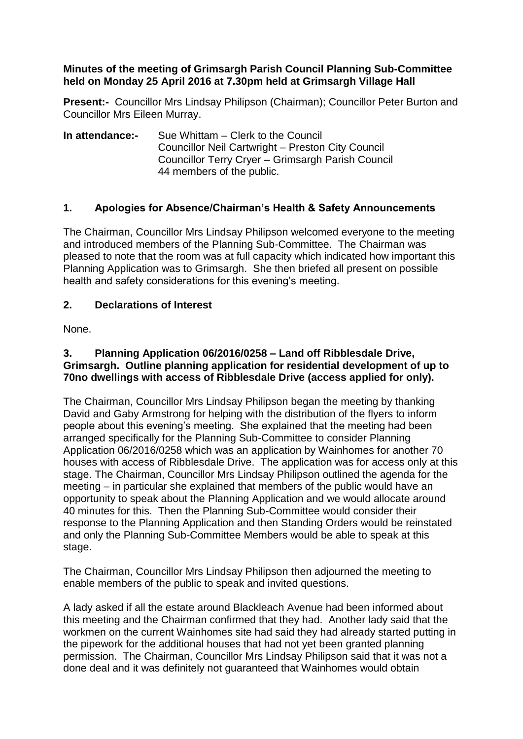#### **Minutes of the meeting of Grimsargh Parish Council Planning Sub-Committee held on Monday 25 April 2016 at 7.30pm held at Grimsargh Village Hall**

**Present:-** Councillor Mrs Lindsay Philipson (Chairman); Councillor Peter Burton and Councillor Mrs Eileen Murray.

**In attendance:-** Sue Whittam – Clerk to the Council Councillor Neil Cartwright – Preston City Council Councillor Terry Cryer – Grimsargh Parish Council 44 members of the public.

## **1. Apologies for Absence/Chairman's Health & Safety Announcements**

The Chairman, Councillor Mrs Lindsay Philipson welcomed everyone to the meeting and introduced members of the Planning Sub-Committee. The Chairman was pleased to note that the room was at full capacity which indicated how important this Planning Application was to Grimsargh. She then briefed all present on possible health and safety considerations for this evening's meeting.

### **2. Declarations of Interest**

None.

#### **3. Planning Application 06/2016/0258 – Land off Ribblesdale Drive, Grimsargh. Outline planning application for residential development of up to 70no dwellings with access of Ribblesdale Drive (access applied for only).**

The Chairman, Councillor Mrs Lindsay Philipson began the meeting by thanking David and Gaby Armstrong for helping with the distribution of the flyers to inform people about this evening's meeting. She explained that the meeting had been arranged specifically for the Planning Sub-Committee to consider Planning Application 06/2016/0258 which was an application by Wainhomes for another 70 houses with access of Ribblesdale Drive. The application was for access only at this stage. The Chairman, Councillor Mrs Lindsay Philipson outlined the agenda for the meeting – in particular she explained that members of the public would have an opportunity to speak about the Planning Application and we would allocate around 40 minutes for this. Then the Planning Sub-Committee would consider their response to the Planning Application and then Standing Orders would be reinstated and only the Planning Sub-Committee Members would be able to speak at this stage.

The Chairman, Councillor Mrs Lindsay Philipson then adjourned the meeting to enable members of the public to speak and invited questions.

A lady asked if all the estate around Blackleach Avenue had been informed about this meeting and the Chairman confirmed that they had. Another lady said that the workmen on the current Wainhomes site had said they had already started putting in the pipework for the additional houses that had not yet been granted planning permission. The Chairman, Councillor Mrs Lindsay Philipson said that it was not a done deal and it was definitely not guaranteed that Wainhomes would obtain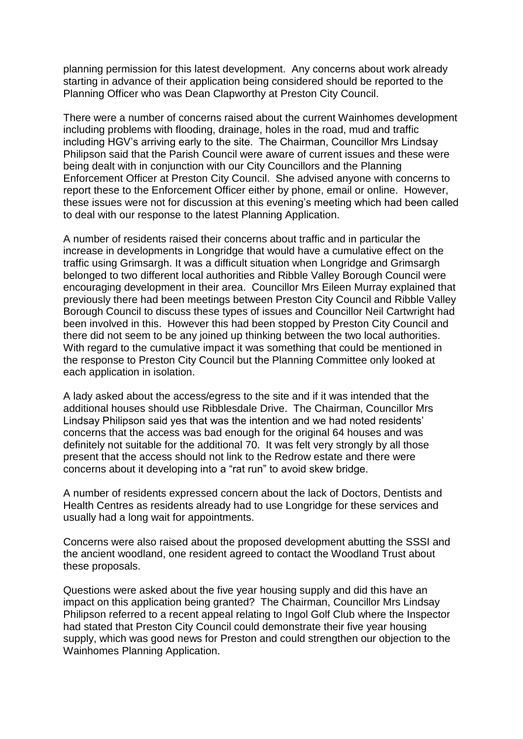planning permission for this latest development. Any concerns about work already starting in advance of their application being considered should be reported to the Planning Officer who was Dean Clapworthy at Preston City Council.

There were a number of concerns raised about the current Wainhomes development including problems with flooding, drainage, holes in the road, mud and traffic including HGV's arriving early to the site. The Chairman, Councillor Mrs Lindsay Philipson said that the Parish Council were aware of current issues and these were being dealt with in conjunction with our City Councillors and the Planning Enforcement Officer at Preston City Council. She advised anyone with concerns to report these to the Enforcement Officer either by phone, email or online. However, these issues were not for discussion at this evening's meeting which had been called to deal with our response to the latest Planning Application.

A number of residents raised their concerns about traffic and in particular the increase in developments in Longridge that would have a cumulative effect on the traffic using Grimsargh. It was a difficult situation when Longridge and Grimsargh belonged to two different local authorities and Ribble Valley Borough Council were encouraging development in their area. Councillor Mrs Eileen Murray explained that previously there had been meetings between Preston City Council and Ribble Valley Borough Council to discuss these types of issues and Councillor Neil Cartwright had been involved in this. However this had been stopped by Preston City Council and there did not seem to be any joined up thinking between the two local authorities. With regard to the cumulative impact it was something that could be mentioned in the response to Preston City Council but the Planning Committee only looked at each application in isolation.

A lady asked about the access/egress to the site and if it was intended that the additional houses should use Ribblesdale Drive. The Chairman, Councillor Mrs Lindsay Philipson said yes that was the intention and we had noted residents' concerns that the access was bad enough for the original 64 houses and was definitely not suitable for the additional 70. It was felt very strongly by all those present that the access should not link to the Redrow estate and there were concerns about it developing into a "rat run" to avoid skew bridge.

A number of residents expressed concern about the lack of Doctors, Dentists and Health Centres as residents already had to use Longridge for these services and usually had a long wait for appointments.

Concerns were also raised about the proposed development abutting the SSSI and the ancient woodland, one resident agreed to contact the Woodland Trust about these proposals.

Questions were asked about the five year housing supply and did this have an impact on this application being granted? The Chairman, Councillor Mrs Lindsay Philipson referred to a recent appeal relating to Ingol Golf Club where the Inspector had stated that Preston City Council could demonstrate their five year housing supply, which was good news for Preston and could strengthen our objection to the Wainhomes Planning Application.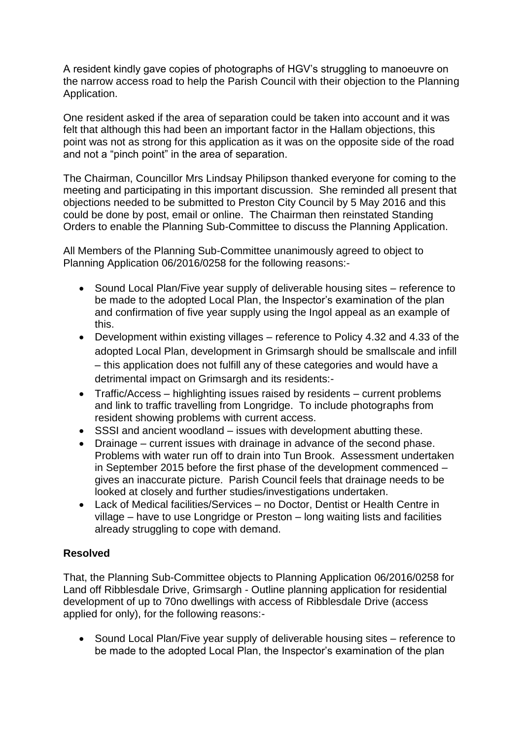A resident kindly gave copies of photographs of HGV's struggling to manoeuvre on the narrow access road to help the Parish Council with their objection to the Planning Application.

One resident asked if the area of separation could be taken into account and it was felt that although this had been an important factor in the Hallam objections, this point was not as strong for this application as it was on the opposite side of the road and not a "pinch point" in the area of separation.

The Chairman, Councillor Mrs Lindsay Philipson thanked everyone for coming to the meeting and participating in this important discussion. She reminded all present that objections needed to be submitted to Preston City Council by 5 May 2016 and this could be done by post, email or online. The Chairman then reinstated Standing Orders to enable the Planning Sub-Committee to discuss the Planning Application.

All Members of the Planning Sub-Committee unanimously agreed to object to Planning Application 06/2016/0258 for the following reasons:-

- Sound Local Plan/Five year supply of deliverable housing sites reference to be made to the adopted Local Plan, the Inspector's examination of the plan and confirmation of five year supply using the Ingol appeal as an example of this.
- Development within existing villages reference to Policy 4.32 and 4.33 of the adopted Local Plan, development in Grimsargh should be smallscale and infill – this application does not fulfill any of these categories and would have a detrimental impact on Grimsargh and its residents:-
- Traffic/Access highlighting issues raised by residents current problems and link to traffic travelling from Longridge. To include photographs from resident showing problems with current access.
- SSSI and ancient woodland issues with development abutting these.
- Drainage current issues with drainage in advance of the second phase. Problems with water run off to drain into Tun Brook. Assessment undertaken in September 2015 before the first phase of the development commenced – gives an inaccurate picture. Parish Council feels that drainage needs to be looked at closely and further studies/investigations undertaken.
- Lack of Medical facilities/Services no Doctor, Dentist or Health Centre in village – have to use Longridge or Preston – long waiting lists and facilities already struggling to cope with demand.

## **Resolved**

That, the Planning Sub-Committee objects to Planning Application 06/2016/0258 for Land off Ribblesdale Drive, Grimsargh - Outline planning application for residential development of up to 70no dwellings with access of Ribblesdale Drive (access applied for only), for the following reasons:-

• Sound Local Plan/Five year supply of deliverable housing sites – reference to be made to the adopted Local Plan, the Inspector's examination of the plan